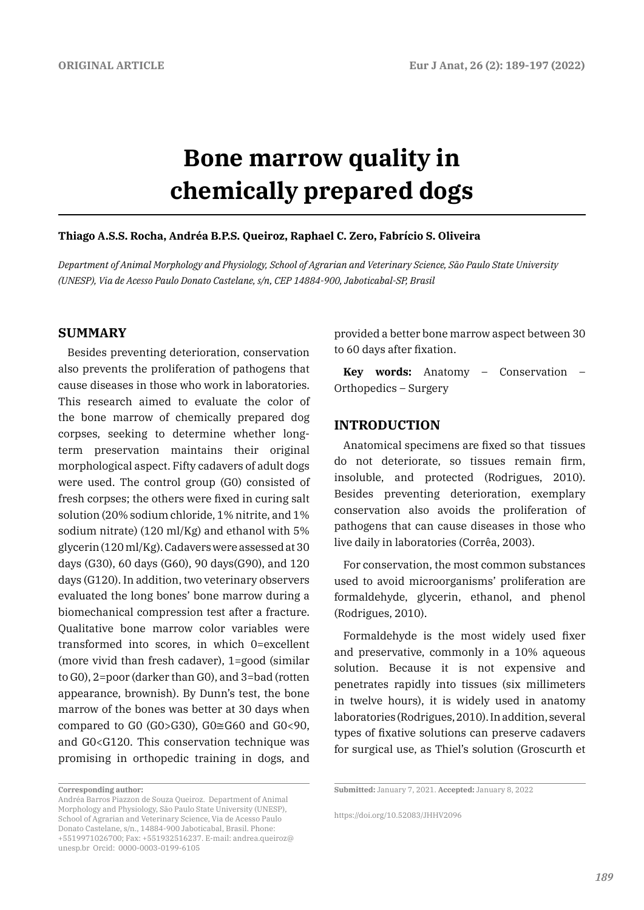# **Bone marrow quality in chemically prepared dogs**

#### **Thiago A.S.S. Rocha, Andréa B.P.S. Queiroz, Raphael C. Zero, Fabrício S. Oliveira**

*Department of Animal Morphology and Physiology, School of Agrarian and Veterinary Science, São Paulo State University (UNESP), Via de Acesso Paulo Donato Castelane, s/n, CEP 14884-900, Jaboticabal-SP, Brasil* 

### **SUMMARY**

Besides preventing deterioration, conservation also prevents the proliferation of pathogens that cause diseases in those who work in laboratories. This research aimed to evaluate the color of the bone marrow of chemically prepared dog corpses, seeking to determine whether longterm preservation maintains their original morphological aspect. Fifty cadavers of adult dogs were used. The control group (G0) consisted of fresh corpses; the others were fixed in curing salt solution (20% sodium chloride, 1% nitrite, and 1% sodium nitrate) (120 ml/Kg) and ethanol with 5% glycerin (120 ml/Kg). Cadavers were assessed at 30 days (G30), 60 days (G60), 90 days(G90), and 120 days (G120). In addition, two veterinary observers evaluated the long bones' bone marrow during a biomechanical compression test after a fracture. Qualitative bone marrow color variables were transformed into scores, in which 0=excellent (more vivid than fresh cadaver), 1=good (similar to G0), 2=poor (darker than G0), and 3=bad (rotten appearance, brownish). By Dunn's test, the bone marrow of the bones was better at 30 days when compared to G0 (G0>G30), G0≅G60 and G0<90, and G0<G120. This conservation technique was promising in orthopedic training in dogs, and provided a better bone marrow aspect between 30 to 60 days after fixation.

**Key words:** Anatomy – Conservation – Orthopedics – Surgery

### **INTRODUCTION**

Anatomical specimens are fixed so that tissues do not deteriorate, so tissues remain firm, insoluble, and protected (Rodrigues, 2010). Besides preventing deterioration, exemplary conservation also avoids the proliferation of pathogens that can cause diseases in those who live daily in laboratories (Corrêa, 2003).

For conservation, the most common substances used to avoid microorganisms' proliferation are formaldehyde, glycerin, ethanol, and phenol (Rodrigues, 2010).

Formaldehyde is the most widely used fixer and preservative, commonly in a 10% aqueous solution. Because it is not expensive and penetrates rapidly into tissues (six millimeters in twelve hours), it is widely used in anatomy laboratories (Rodrigues, 2010). In addition, several types of fixative solutions can preserve cadavers for surgical use, as Thiel's solution (Groscurth et

**Corresponding author:** 

Andréa Barros Piazzon de Souza Queiroz. Department of Animal Morphology and Physiology, São Paulo State University (UNESP), School of Agrarian and Veterinary Science, Via de Acesso Paulo Donato Castelane, s/n., 14884-900 Jaboticabal, Brasil. Phone: +5519971026700; Fax: +551932516237. E-mail: andrea.queiroz@ unesp.br Orcid: 0000-0003-0199-6105

**Submitted:** January 7, 2021. **Accepted:** January 8, 2022

https://doi.org/10.52083/JHHV2096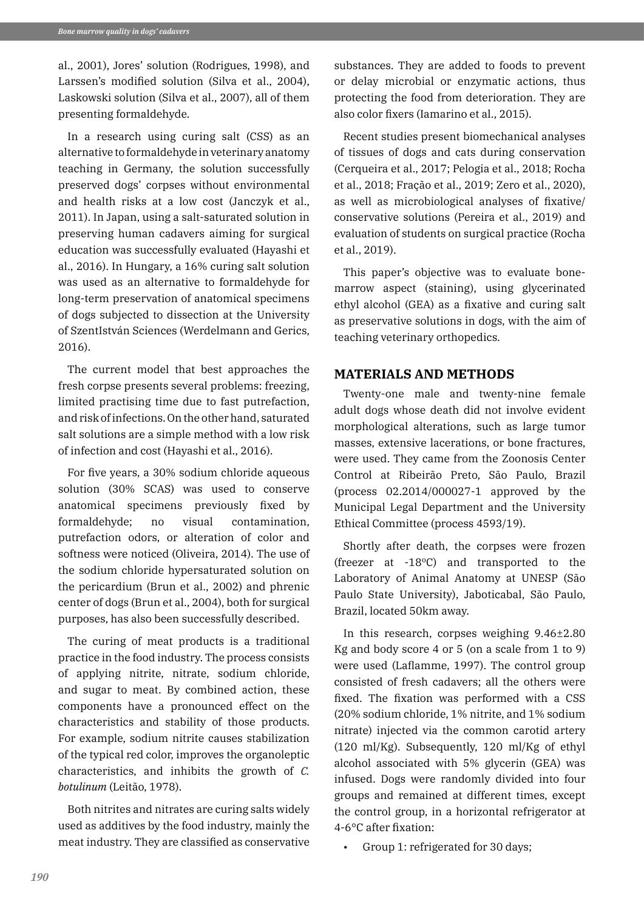al., 2001), Jores' solution (Rodrigues, 1998), and Larssen's modified solution (Silva et al., 2004), Laskowski solution (Silva et al., 2007), all of them presenting formaldehyde.

In a research using curing salt (CSS) as an alternative to formaldehyde in veterinary anatomy teaching in Germany, the solution successfully preserved dogs' corpses without environmental and health risks at a low cost (Janczyk et al., 2011). In Japan, using a salt-saturated solution in preserving human cadavers aiming for surgical education was successfully evaluated (Hayashi et al., 2016). In Hungary, a 16% curing salt solution was used as an alternative to formaldehyde for long-term preservation of anatomical specimens of dogs subjected to dissection at the University of SzentIstván Sciences (Werdelmann and Gerics, 2016).

The current model that best approaches the fresh corpse presents several problems: freezing, limited practising time due to fast putrefaction, and risk of infections. On the other hand, saturated salt solutions are a simple method with a low risk of infection and cost (Hayashi et al., 2016).

For five years, a 30% sodium chloride aqueous solution (30% SCAS) was used to conserve anatomical specimens previously fixed by formaldehyde; no visual contamination, putrefaction odors, or alteration of color and softness were noticed (Oliveira, 2014). The use of the sodium chloride hypersaturated solution on the pericardium (Brun et al., 2002) and phrenic center of dogs (Brun et al., 2004), both for surgical purposes, has also been successfully described.

The curing of meat products is a traditional practice in the food industry. The process consists of applying nitrite, nitrate, sodium chloride, and sugar to meat. By combined action, these components have a pronounced effect on the characteristics and stability of those products. For example, sodium nitrite causes stabilization of the typical red color, improves the organoleptic characteristics, and inhibits the growth of *C. botulinum* (Leitão, 1978).

Both nitrites and nitrates are curing salts widely used as additives by the food industry, mainly the meat industry. They are classified as conservative

substances. They are added to foods to prevent or delay microbial or enzymatic actions, thus protecting the food from deterioration. They are also color fixers (Iamarino et al., 2015).

Recent studies present biomechanical analyses of tissues of dogs and cats during conservation (Cerqueira et al., 2017; Pelogia et al., 2018; Rocha et al., 2018; Fração et al., 2019; Zero et al., 2020), as well as microbiological analyses of fixative/ conservative solutions (Pereira et al., 2019) and evaluation of students on surgical practice (Rocha et al., 2019).

This paper's objective was to evaluate bonemarrow aspect (staining), using glycerinated ethyl alcohol (GEA) as a fixative and curing salt as preservative solutions in dogs, with the aim of teaching veterinary orthopedics.

# **MATERIALS AND METHODS**

Twenty-one male and twenty-nine female adult dogs whose death did not involve evident morphological alterations, such as large tumor masses, extensive lacerations, or bone fractures, were used. They came from the Zoonosis Center Control at Ribeirão Preto, São Paulo, Brazil (process 02.2014/000027-1 approved by the Municipal Legal Department and the University Ethical Committee (process 4593/19).

Shortly after death, the corpses were frozen (freezer at -18ºC) and transported to the Laboratory of Animal Anatomy at UNESP (São Paulo State University), Jaboticabal, São Paulo, Brazil, located 50km away.

In this research, corpses weighing 9.46±2.80 Kg and body score 4 or 5 (on a scale from 1 to 9) were used (Laflamme, 1997). The control group consisted of fresh cadavers; all the others were fixed. The fixation was performed with a CSS (20% sodium chloride, 1% nitrite, and 1% sodium nitrate) injected via the common carotid artery (120 ml/Kg). Subsequently, 120 ml/Kg of ethyl alcohol associated with 5% glycerin (GEA) was infused. Dogs were randomly divided into four groups and remained at different times, except the control group, in a horizontal refrigerator at 4-6°C after fixation:

Group 1: refrigerated for 30 days;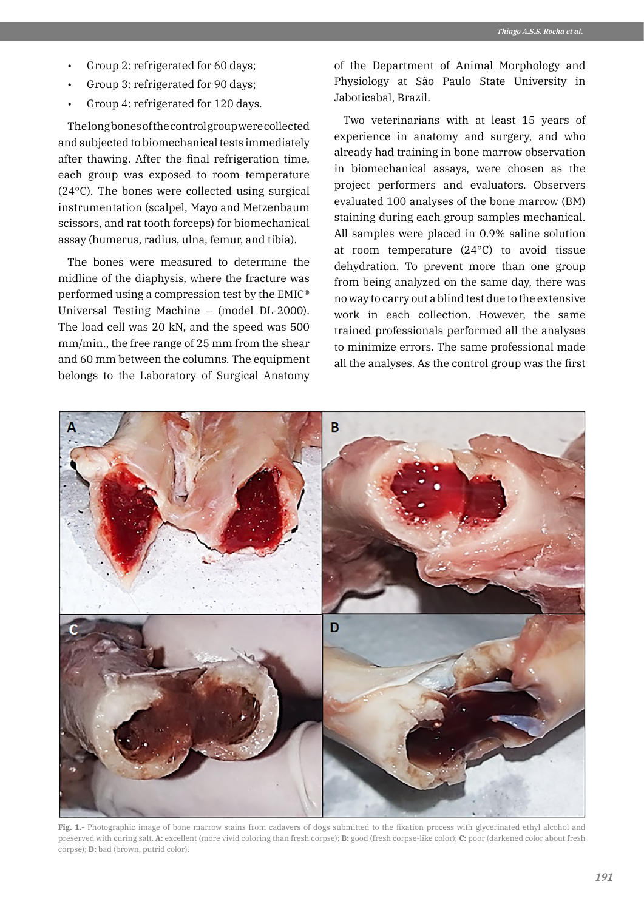- Group 2: refrigerated for 60 days;
- Group 3: refrigerated for 90 days;
- Group 4: refrigerated for 120 days.

The long bones of the control group were collected and subjected to biomechanical tests immediately after thawing. After the final refrigeration time, each group was exposed to room temperature (24°C). The bones were collected using surgical instrumentation (scalpel, Mayo and Metzenbaum scissors, and rat tooth forceps) for biomechanical assay (humerus, radius, ulna, femur, and tibia).

The bones were measured to determine the midline of the diaphysis, where the fracture was performed using a compression test by the EMIC® Universal Testing Machine – (model DL-2000). The load cell was 20 kN, and the speed was 500 mm/min., the free range of 25 mm from the shear and 60 mm between the columns. The equipment belongs to the Laboratory of Surgical Anatomy of the Department of Animal Morphology and Physiology at São Paulo State University in Jaboticabal, Brazil.

Two veterinarians with at least 15 years of experience in anatomy and surgery, and who already had training in bone marrow observation in biomechanical assays, were chosen as the project performers and evaluators. Observers evaluated 100 analyses of the bone marrow (BM) staining during each group samples mechanical. All samples were placed in 0.9% saline solution at room temperature (24°C) to avoid tissue dehydration. To prevent more than one group from being analyzed on the same day, there was no way to carry out a blind test due to the extensive work in each collection. However, the same trained professionals performed all the analyses to minimize errors. The same professional made all the analyses. As the control group was the first



**Fig. 1.-** Photographic image of bone marrow stains from cadavers of dogs submitted to the fixation process with glycerinated ethyl alcohol and preserved with curing salt. **A:** excellent (more vivid coloring than fresh corpse); **B:** good (fresh corpse-like color); **C:** poor (darkened color about fresh corpse); **D:** bad (brown, putrid color).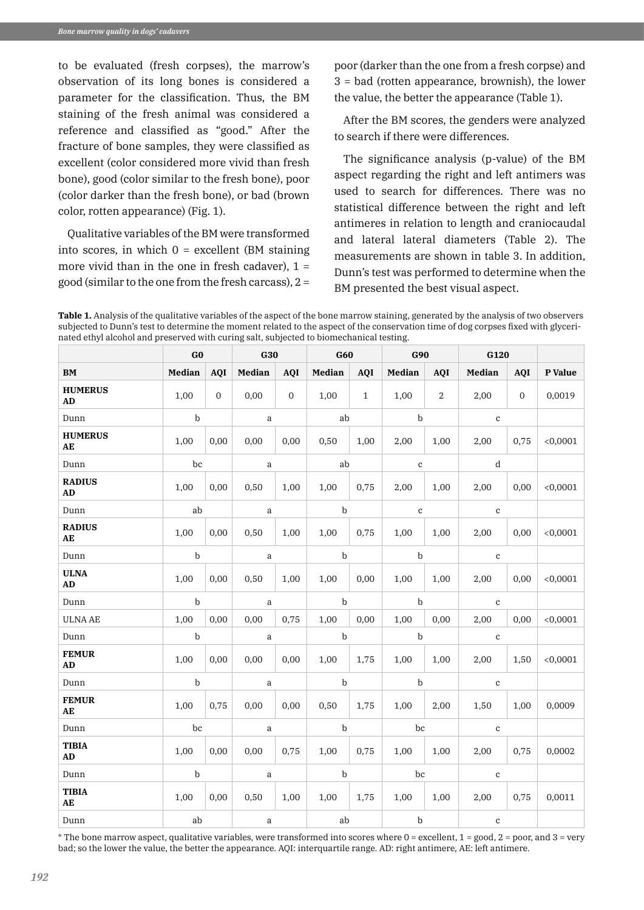to be evaluated (fresh corpses), the marrow's observation of its long bones is considered a parameter for the classification. Thus, the BM staining of the fresh animal was considered a reference and classified as "good." After the fracture of bone samples, they were classified as excellent (color considered more vivid than fresh bone), good (color similar to the fresh bone), poor (color darker than the fresh bone), or bad (brown color, rotten appearance) (Fig. 1).

Qualitative variables of the BM were transformed into scores, in which  $0 =$  excellent (BM staining more vivid than in the one in fresh cadaver),  $1 =$ good (similar to the one from the fresh carcass),  $2 =$ 

poor (darker than the one from a fresh corpse) and 3 = bad (rotten appearance, brownish), the lower the value, the better the appearance (Table 1).

After the BM scores, the genders were analyzed to search if there were differences.

The significance analysis (p-value) of the BM aspect regarding the right and left antimers was used to search for differences. There was no statistical difference between the right and left antimeres in relation to length and craniocaudal and lateral lateral diameters (Table 2). The measurements are shown in table 3. In addition, Dunn's test was performed to determine when the BM presented the best visual aspect.

**Table 1.** Analysis of the qualitative variables of the aspect of the bone marrow staining, generated by the analysis of two observers subjected to Dunn's test to determine the moment related to the aspect of the conservation time of dog corpses fixed with glycerinated ethyl alcohol and preserved with curing salt, subjected to biomechanical testing.

|                              | G0          |                | <b>G30</b>    |                | G60         |              | G90         |              | G120        |             |          |
|------------------------------|-------------|----------------|---------------|----------------|-------------|--------------|-------------|--------------|-------------|-------------|----------|
| BM                           | Median      | <b>AQI</b>     | <b>Median</b> | <b>AQI</b>     | Median      | <b>AQI</b>   | Median      | <b>AQI</b>   | Median      | <b>AQI</b>  | P Value  |
| <b>HUMERUS</b><br>AD         | 1,00        | $\overline{0}$ | 0,00          | $\overline{0}$ | 1,00        | $\mathbf{1}$ | 1,00        | $\mathbf{2}$ | 2,00        | $\mathbf 0$ | 0,0019   |
| Dunn                         | b           |                | $\mathbf{a}$  |                | ab          |              | $\mathbf b$ |              | $\mathbf c$ |             |          |
| <b>HUMERUS</b><br>AE         | 1,00        | 0,00           | $0.00\,$      | 0,00           | 0,50        | 1,00         | 2,00        | 1,00         | 2,00        | 0,75        | < 0,0001 |
| Dunn                         | bc          |                | $\mathsf a$   |                | ab          |              | $\,$ c      |              | d           |             |          |
| <b>RADIUS</b><br>AD          | 1,00        | 0,00           | 0,50          | 1,00           | 1,00        | 0,75         | 2,00        | 1,00         | 2,00        | 0,00        | < 0,0001 |
| $\mathop{\rm Dunn}\nolimits$ | ab          |                | a             |                | $\mathbf b$ |              | $\mathbf c$ |              | $\mathbf c$ |             |          |
| <b>RADIUS</b><br>AE          | 1,00        | 0,00           | 0,50          | 1,00           | 1,00        | 0,75         | 1,00        | 1,00         | 2,00        | 0,00        | < 0,0001 |
| Dunn                         | $\mathbf b$ |                | a             |                | $\mathbf b$ |              | $\mathbf b$ |              | $\mathbf c$ |             |          |
| <b>ULNA</b><br>AD            | 1,00        | 0,00           | 0,50          | 1,00           | 1,00        | 0,00         | 1,00        | 1,00         | 2,00        | 0,00        | < 0,0001 |
| Dunn                         | $\mathbf b$ |                | a             |                | $\mathbf b$ |              | $\mathbf b$ |              | $\mathbf c$ |             |          |
| <b>ULNA AE</b>               | 1,00        | 0,00           | 0,00          | 0,75           | 1,00        | 0,00         | 1,00        | 0,00         | 2,00        | 0,00        | < 0,0001 |
| Dunn                         | $\mathbf b$ |                | a             |                | $\mathbf b$ |              | b           |              | $\mathbf c$ |             |          |
| <b>FEMUR</b><br>AD           | 1,00        | 0,00           | 0,00          | 0,00           | 1,00        | 1,75         | 1,00        | 1,00         | 2,00        | 1,50        | < 0,0001 |
| Dunn                         | $\mathbf b$ |                | $\mathbf{a}$  |                | $\mathbf b$ |              | $\mathbf b$ |              | $\mathbf c$ |             |          |
| <b>FEMUR</b><br>AE           | 1,00        | 0,75           | 0,00          | 0,00           | 0,50        | 1,75         | 1,00        | 2,00         | 1,50        | 1,00        | 0,0009   |
| $\mathop{\rm Dunn}\nolimits$ | bc          |                | a             |                | $\mathbf b$ |              | bc          |              | $\mathbf c$ |             |          |
| <b>TIBIA</b><br>AD           | 1,00        | 0,00           | 0,00          | 0,75           | 1,00        | 0,75         | 1,00        | 1,00         | 2,00        | 0,75        | 0,0002   |
| Dunn                         | $\mathbf b$ |                | a             |                | $\mathbf b$ |              | bc          |              | $\mathbf c$ |             |          |
| <b>TIBIA</b><br>AE           | 1,00        | 0,00           | 0,50          | 1,00           | $1,00$ 1,75 |              | 1,00        | 1,00         | 2,00        | 0,75        | 0,0011   |
| Dunn                         | ab          |                | a             |                | ab          |              | $\mathbf b$ |              | $\mathbf c$ |             |          |

 $*$  The bone marrow aspect, qualitative variables, were transformed into scores where  $0 =$  excellent,  $1 =$  good,  $2 =$  poor, and  $3 =$  very bad; so the lower the value, the better the appearance. AQI: interquartile range. AD: right antimere, AE: left antimere.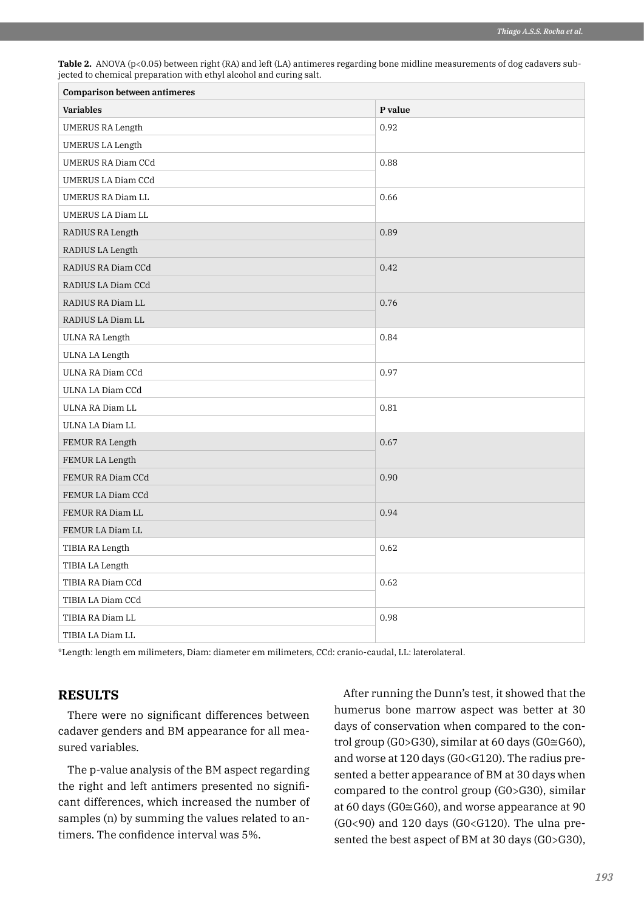| <b>Comparison between antimeres</b> |         |  |  |
|-------------------------------------|---------|--|--|
| <b>Variables</b>                    | P value |  |  |
| <b>UMERUS RA Length</b>             | 0.92    |  |  |
| <b>UMERUS LA Length</b>             |         |  |  |
| UMERUS RA Diam CCd                  | 0.88    |  |  |
| UMERUS LA Diam CCd                  |         |  |  |
| UMERUS RA Diam LL                   | 0.66    |  |  |
| UMERUS LA Diam LL                   |         |  |  |
| RADIUS RA Length                    | 0.89    |  |  |
| RADIUS LA Length                    |         |  |  |
| RADIUS RA Diam CCd                  | 0.42    |  |  |
| RADIUS LA Diam CCd                  |         |  |  |
| RADIUS RA Diam LL                   | 0.76    |  |  |
| RADIUS LA Diam LL                   |         |  |  |
| <b>ULNA RA Length</b>               | 0.84    |  |  |
| <b>ULNA LA Length</b>               |         |  |  |
| ULNA RA Diam CCd                    | 0.97    |  |  |
| ULNA LA Diam CCd                    |         |  |  |
| ULNA RA Diam LL                     | 0.81    |  |  |
| ULNA LA Diam LL                     |         |  |  |
| FEMUR RA Length                     | 0.67    |  |  |
| FEMUR LA Length                     |         |  |  |
| FEMUR RA Diam CCd                   | 0.90    |  |  |
| FEMUR LA Diam CCd                   |         |  |  |
| FEMUR RA Diam LL                    | 0.94    |  |  |
| FEMUR LA Diam LL                    |         |  |  |
| TIBIA RA Length                     | 0.62    |  |  |
| TIBIA LA Length                     |         |  |  |
| TIBIA RA Diam CCd                   | 0.62    |  |  |
| TIBIA LA Diam CCd                   |         |  |  |
| TIBIA RA Diam LL                    | 0.98    |  |  |
| TIBIA LA Diam LL                    |         |  |  |

**Table 2.** ANOVA (p<0.05) between right (RA) and left (LA) antimeres regarding bone midline measurements of dog cadavers subjected to chemical preparation with ethyl alcohol and curing salt.

\*Length: length em milimeters, Diam: diameter em milimeters, CCd: cranio-caudal, LL: laterolateral.

# **RESULTS**

There were no significant differences between cadaver genders and BM appearance for all measured variables.

The p-value analysis of the BM aspect regarding the right and left antimers presented no significant differences, which increased the number of samples (n) by summing the values related to antimers. The confidence interval was 5%.

After running the Dunn's test, it showed that the humerus bone marrow aspect was better at 30 days of conservation when compared to the control group (G0>G30), similar at 60 days (G0 $\cong$ G60), and worse at 120 days (G0<G120). The radius presented a better appearance of BM at 30 days when compared to the control group (G0>G30), similar at 60 days (G0≅G60), and worse appearance at 90  $(G0<90)$  and 120 days  $(G0< G120)$ . The ulna presented the best aspect of BM at 30 days (G0>G30),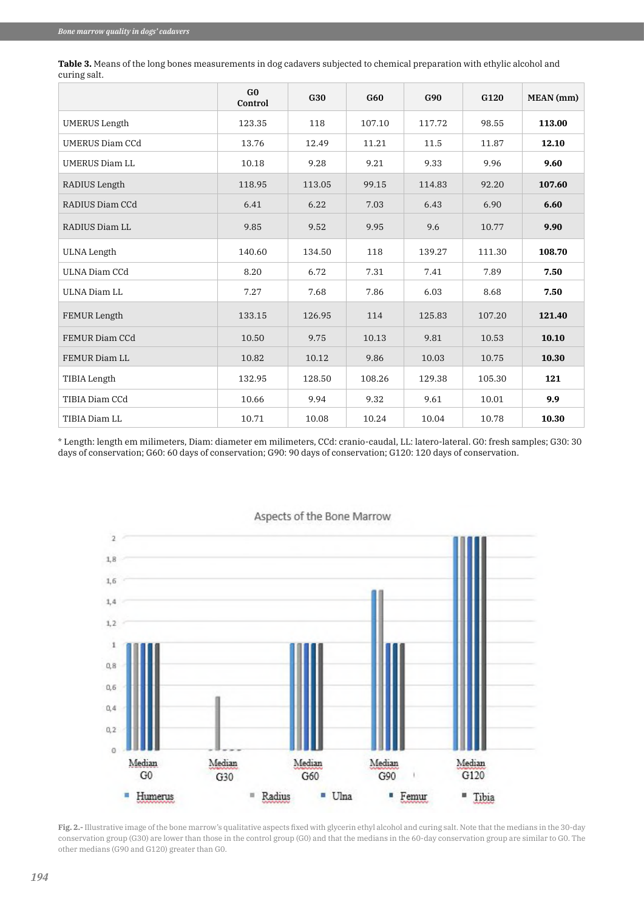|                        | G <sub>0</sub><br>Control | G30    | G60    | G90    | G120   | MEAN (mm) |
|------------------------|---------------------------|--------|--------|--------|--------|-----------|
| <b>UMERUS</b> Length   | 123.35                    | 118    | 107.10 | 117.72 | 98.55  | 113.00    |
| <b>UMERUS Diam CCd</b> | 13.76                     | 12.49  | 11.21  | 11.5   | 11.87  | 12.10     |
| UMERUS Diam LL         | 10.18                     | 9.28   | 9.21   | 9.33   | 9.96   | 9.60      |
| RADIUS Length          | 118.95                    | 113.05 | 99.15  | 114.83 | 92.20  | 107.60    |
| RADIUS Diam CCd        | 6.41                      | 6.22   | 7.03   | 6.43   | 6.90   | 6.60      |
| RADIUS Diam LL         | 9.85                      | 9.52   | 9.95   | 9.6    | 10.77  | 9.90      |
| ULNA Length            | 140.60                    | 134.50 | 118    | 139.27 | 111.30 | 108.70    |
| ULNA Diam CCd          | 8.20                      | 6.72   | 7.31   | 7.41   | 7.89   | 7.50      |
| ULNA Diam LL           | 7.27                      | 7.68   | 7.86   | 6.03   | 8.68   | 7.50      |
| <b>FEMUR Length</b>    | 133.15                    | 126.95 | 114    | 125.83 | 107.20 | 121.40    |
| FEMUR Diam CCd         | 10.50                     | 9.75   | 10.13  | 9.81   | 10.53  | 10.10     |
| FEMUR Diam LL          | 10.82                     | 10.12  | 9.86   | 10.03  | 10.75  | 10.30     |
| TIBIA Length           | 132.95                    | 128.50 | 108.26 | 129.38 | 105.30 | 121       |
| TIBIA Diam CCd         | 10.66                     | 9.94   | 9.32   | 9.61   | 10.01  | 9.9       |
| TIBIA Diam LL          | 10.71                     | 10.08  | 10.24  | 10.04  | 10.78  | 10.30     |

**Table 3.** Means of the long bones measurements in dog cadavers subjected to chemical preparation with ethylic alcohol and curing salt.

\* Length: length em milimeters, Diam: diameter em milimeters, CCd: cranio-caudal, LL: latero-lateral. G0: fresh samples; G30: 30 days of conservation; G60: 60 days of conservation; G90: 90 days of conservation; G120: 120 days of conservation.



## Aspects of the Bone Marrow

**Fig. 2.-** Illustrative image of the bone marrow's qualitative aspects fixed with glycerin ethyl alcohol and curing salt. Note that the medians in the 30-day conservation group (G30) are lower than those in the control group (G0) and that the medians in the 60-day conservation group are similar to G0. The other medians (G90 and G120) greater than G0.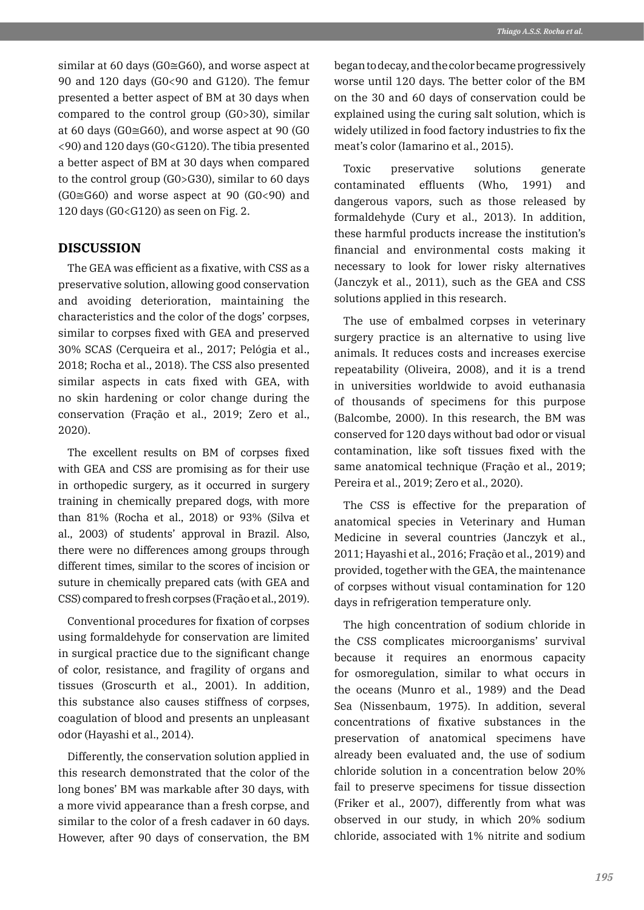similar at 60 days (G0≅G60), and worse aspect at 90 and 120 days (G0<90 and G120). The femur presented a better aspect of BM at 30 days when compared to the control group (G0>30), similar at 60 days (G0≅G60), and worse aspect at 90 (G0 <90) and 120 days (G0<G120). The tibia presented a better aspect of BM at 30 days when compared to the control group (G0>G30), similar to 60 days  $(G0 \cong G60)$  and worse aspect at 90  $(G0 < 90)$  and 120 days (G0<G120) as seen on Fig. 2.

# **DISCUSSION**

The GEA was efficient as a fixative, with CSS as a preservative solution, allowing good conservation and avoiding deterioration, maintaining the characteristics and the color of the dogs' corpses, similar to corpses fixed with GEA and preserved 30% SCAS (Cerqueira et al., 2017; Pelógia et al., 2018; Rocha et al., 2018). The CSS also presented similar aspects in cats fixed with GEA, with no skin hardening or color change during the conservation (Fração et al., 2019; Zero et al., 2020).

The excellent results on BM of corpses fixed with GEA and CSS are promising as for their use in orthopedic surgery, as it occurred in surgery training in chemically prepared dogs, with more than 81% (Rocha et al., 2018) or 93% (Silva et al., 2003) of students' approval in Brazil. Also, there were no differences among groups through different times, similar to the scores of incision or suture in chemically prepared cats (with GEA and CSS) compared to fresh corpses (Fração et al., 2019).

Conventional procedures for fixation of corpses using formaldehyde for conservation are limited in surgical practice due to the significant change of color, resistance, and fragility of organs and tissues (Groscurth et al., 2001). In addition, this substance also causes stiffness of corpses, coagulation of blood and presents an unpleasant odor (Hayashi et al., 2014).

Differently, the conservation solution applied in this research demonstrated that the color of the long bones' BM was markable after 30 days, with a more vivid appearance than a fresh corpse, and similar to the color of a fresh cadaver in 60 days. However, after 90 days of conservation, the BM

began to decay, and the color became progressively worse until 120 days. The better color of the BM on the 30 and 60 days of conservation could be explained using the curing salt solution, which is widely utilized in food factory industries to fix the meat's color (Iamarino et al., 2015).

Toxic preservative solutions generate contaminated effluents (Who, 1991) and dangerous vapors, such as those released by formaldehyde (Cury et al., 2013). In addition, these harmful products increase the institution's financial and environmental costs making it necessary to look for lower risky alternatives (Janczyk et al., 2011), such as the GEA and CSS solutions applied in this research.

The use of embalmed corpses in veterinary surgery practice is an alternative to using live animals. It reduces costs and increases exercise repeatability (Oliveira, 2008), and it is a trend in universities worldwide to avoid euthanasia of thousands of specimens for this purpose (Balcombe, 2000). In this research, the BM was conserved for 120 days without bad odor or visual contamination, like soft tissues fixed with the same anatomical technique (Fração et al., 2019; Pereira et al., 2019; Zero et al., 2020).

The CSS is effective for the preparation of anatomical species in Veterinary and Human Medicine in several countries (Janczyk et al., 2011; Hayashi et al., 2016; Fração et al., 2019) and provided, together with the GEA, the maintenance of corpses without visual contamination for 120 days in refrigeration temperature only.

The high concentration of sodium chloride in the CSS complicates microorganisms' survival because it requires an enormous capacity for osmoregulation, similar to what occurs in the oceans (Munro et al., 1989) and the Dead Sea (Nissenbaum, 1975). In addition, several concentrations of fixative substances in the preservation of anatomical specimens have already been evaluated and, the use of sodium chloride solution in a concentration below 20% fail to preserve specimens for tissue dissection (Friker et al., 2007), differently from what was observed in our study, in which 20% sodium chloride, associated with 1% nitrite and sodium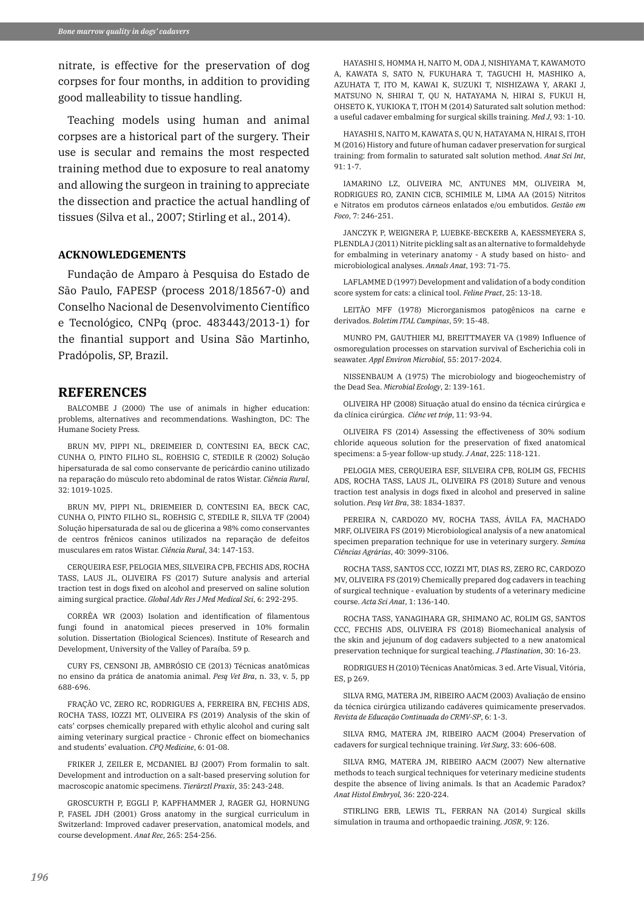nitrate, is effective for the preservation of dog corpses for four months, in addition to providing good malleability to tissue handling.

Teaching models using human and animal corpses are a historical part of the surgery. Their use is secular and remains the most respected training method due to exposure to real anatomy and allowing the surgeon in training to appreciate the dissection and practice the actual handling of tissues (Silva et al., 2007; Stirling et al., 2014).

### **ACKNOWLEDGEMENTS**

Fundação de Amparo à Pesquisa do Estado de São Paulo, FAPESP (process 2018/18567-0) and Conselho Nacional de Desenvolvimento Científico e Tecnológico, CNPq (proc. 483443/2013-1) for the finantial support and Usina São Martinho, Pradópolis, SP, Brazil.

#### **REFERENCES**

BALCOMBE J (2000) The use of animals in higher education: problems, alternatives and recommendations. Washington, DC: The Humane Society Press.

BRUN MV, PIPPI NL, DREIMEIER D, CONTESINI EA, BECK CAC, CUNHA O, PINTO FILHO SL, ROEHSIG C, STEDILE R (2002) Solução hipersaturada de sal como conservante de pericárdio canino utilizado na reparação do músculo reto abdominal de ratos Wistar. *Ciência Rural*, 32: 1019-1025.

BRUN MV, PIPPI NL, DRIEMEIER D, CONTESINI EA, BECK CAC, CUNHA O, PINTO FILHO SL, ROEHSIG C, STEDILE R, SILVA TF (2004) Solução hipersaturada de sal ou de glicerina a 98% como conservantes de centros frênicos caninos utilizados na reparação de defeitos musculares em ratos Wistar. *Ciência Rural*, 34: 147-153.

CERQUEIRA ESF, PELOGIA MES, SILVEIRA CPB, FECHIS ADS, ROCHA TASS, LAUS JL, OLIVEIRA FS (2017) Suture analysis and arterial traction test in dogs fixed on alcohol and preserved on saline solution aiming surgical practice. *Global Adv Res J Med Medical Sci*, 6: 292-295.

CORRÊA WR (2003) Isolation and identification of filamentous fungi found in anatomical pieces preserved in 10% formalin solution. Dissertation (Biological Sciences). Institute of Research and Development, University of the Valley of Paraíba. 59 p.

CURY FS, CENSONI JB, AMBRÓSIO CE (2013) Técnicas anatômicas no ensino da prática de anatomia animal. *Pesq Vet Bra*, n. 33, v. 5, pp 688-696.

FRAÇÃO VC, ZERO RC, RODRIGUES A, FERREIRA BN, FECHIS ADS, ROCHA TASS, IOZZI MT, OLIVEIRA FS (2019) Analysis of the skin of cats' corpses chemically prepared with ethylic alcohol and curing salt aiming veterinary surgical practice - Chronic effect on biomechanics and students' evaluation. *CPQ Medicine*, 6: 01-08.

FRIKER J, ZEILER E, MCDANIEL BJ (2007) From formalin to salt. Development and introduction on a salt-based preserving solution for macroscopic anatomic specimens. *Tierärztl Praxis*, 35: 243-248.

GROSCURTH P, EGGLI P, KAPFHAMMER J, RAGER GJ, HORNUNG P, FASEL JDH (2001) Gross anatomy in the surgical curriculum in Switzerland: Improved cadaver preservation, anatomical models, and course development. *Anat Rec*, 265: 254-256.

HAYASHI S, HOMMA H, NAITO M, ODA J, NISHIYAMA T, KAWAMOTO A, KAWATA S, SATO N, FUKUHARA T, TAGUCHI H, MASHIKO A, AZUHATA T, ITO M, KAWAI K, SUZUKI T, NISHIZAWA Y, ARAKI J, MATSUNO N, SHIRAI T, QU N, HATAYAMA N, HIRAI S, FUKUI H, OHSETO K, YUKIOKA T, ITOH M (2014) Saturated salt solution method: a useful cadaver embalming for surgical skills training. *Med J*, 93: 1-10.

HAYASHI S, NAITO M, KAWATA S, QU N, HATAYAMA N, HIRAI S, ITOH M (2016) History and future of human cadaver preservation for surgical training: from formalin to saturated salt solution method. *Anat Sci Int*, 91: 1-7.

IAMARINO LZ, OLIVEIRA MC, ANTUNES MM, OLIVEIRA M, RODRIGUES RO, ZANIN CICB, SCHIMILE M, LIMA AA (2015) Nitritos e Nitratos em produtos cárneos enlatados e/ou embutidos. *Gestão em Foco*, 7: 246-251.

JANCZYK P, WEIGNERA P, LUEBKE-BECKERB A, KAESSMEYERA S, PLENDLA J (2011) Nitrite pickling salt as an alternative to formaldehyde for embalming in veterinary anatomy - A study based on histo- and microbiological analyses. *Annals Anat*, 193: 71-75.

LAFLAMME D (1997) Development and validation of a body condition score system for cats: a clinical tool. *Feline Pract*, 25: 13-18.

LEITÃO MFF (1978) Microrganismos patogênicos na carne e derivados. *Boletim ITAL Campinas*, 59: 15-48.

MUNRO PM, GAUTHIER MJ, BREITTMAYER VA (1989) Influence of osmoregulation processes on starvation survival of Escherichia coli in seawater. *Appl Environ Microbiol*, 55: 2017-2024.

NISSENBAUM A (1975) The microbiology and biogeochemistry of the Dead Sea. *Microbial Ecology*, 2: 139-161.

OLIVEIRA HP (2008) Situação atual do ensino da técnica cirúrgica e da clínica cirúrgica. *Ciênc vet tróp*, 11: 93-94.

OLIVEIRA FS (2014) Assessing the effectiveness of 30% sodium chloride aqueous solution for the preservation of fixed anatomical specimens: a 5-year follow-up study. *J Anat*, 225: 118-121.

PELOGIA MES, CERQUEIRA ESF, SILVEIRA CPB, ROLIM GS, FECHIS ADS, ROCHA TASS, LAUS JL, OLIVEIRA FS (2018) Suture and venous traction test analysis in dogs fixed in alcohol and preserved in saline solution. *Pesq Vet Bra*, 38: 1834-1837.

PEREIRA N, CARDOZO MV, ROCHA TASS, ÁVILA FA, MACHADO MRF, OLIVEIRA FS (2019) Microbiological analysis of a new anatomical specimen preparation technique for use in veterinary surgery. *Semina Ciências Agrárias*, 40: 3099-3106.

ROCHA TASS, SANTOS CCC, IOZZI MT, DIAS RS, ZERO RC, CARDOZO MV, OLIVEIRA FS (2019) Chemically prepared dog cadavers in teaching of surgical technique - evaluation by students of a veterinary medicine course. *Acta Sci Anat*, 1: 136-140.

ROCHA TASS, YANAGIHARA GR, SHIMANO AC, ROLIM GS, SANTOS CCC, FECHIS ADS, OLIVEIRA FS (2018) Biomechanical analysis of the skin and jejunum of dog cadavers subjected to a new anatomical preservation technique for surgical teaching. *J Plastination*, 30: 16-23.

RODRIGUES H (2010) Técnicas Anatômicas. 3 ed. Arte Visual, Vitória, ES, p 269.

SILVA RMG, MATERA JM, RIBEIRO AACM (2003) Avaliação de ensino da técnica cirúrgica utilizando cadáveres quimicamente preservados. *Revista de Educação Continuada do CRMV-SP*, 6: 1-3.

SILVA RMG, MATERA JM, RIBEIRO AACM (2004) Preservation of cadavers for surgical technique training. *Vet Surg*, 33: 606-608.

SILVA RMG, MATERA JM, RIBEIRO AACM (2007) New alternative methods to teach surgical techniques for veterinary medicine students despite the absence of living animals. Is that an Academic Paradox? *Anat Histol Embryol,* 36: 220-224.

STIRLING ERB, LEWIS TL, FERRAN NA (2014) Surgical skills simulation in trauma and orthopaedic training. *JOSR*, 9: 126.